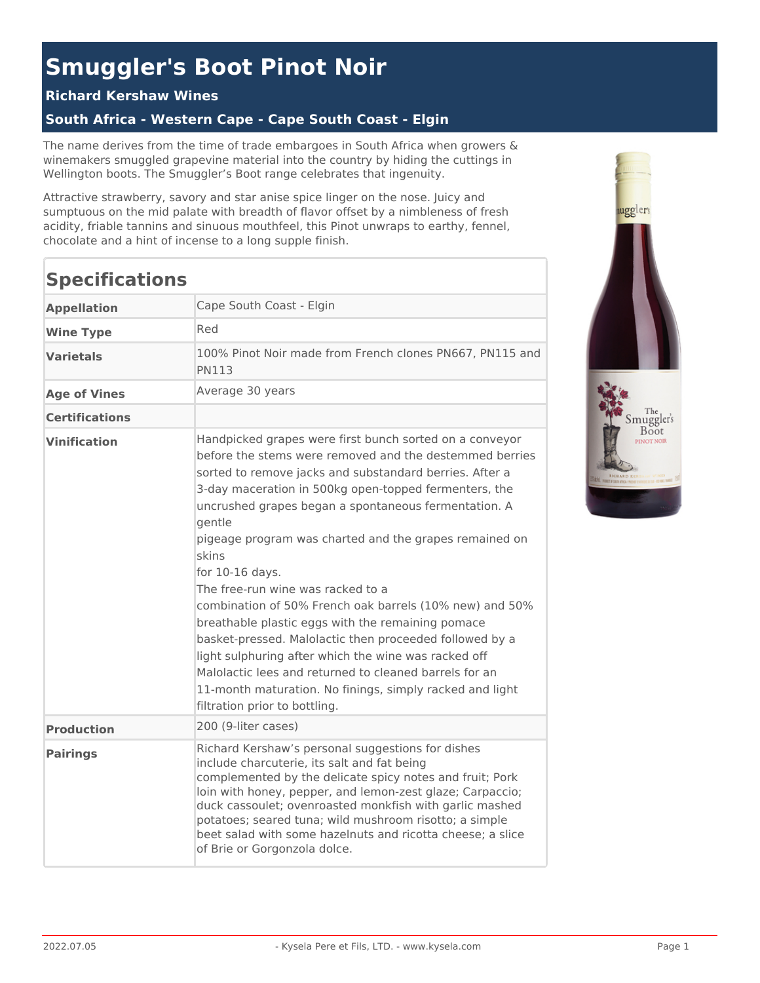# **Smuggler's Boot Pinot Noir**

#### **Richard Kershaw Wines**

## **South Africa - Western Cape - Cape South Coast - Elgin**

The name derives from the time of trade embargoes in South Africa when growers & winemakers smuggled grapevine material into the country by hiding the cuttings in Wellington boots. The Smuggler's Boot range celebrates that ingenuity.

Attractive strawberry, savory and star anise spice linger on the nose. Juicy and sumptuous on the mid palate with breadth of flavor offset by a nimbleness of fresh acidity, friable tannins and sinuous mouthfeel, this Pinot unwraps to earthy, fennel, chocolate and a hint of incense to a long supple finish.

# **Specifications**

| <b>Appellation</b>    | Cape South Coast - Elgin                                                                                                                                                                                                                                                                                                                                                                                                                                                                                                                                                                                                                                                                                                                                                                                                      |
|-----------------------|-------------------------------------------------------------------------------------------------------------------------------------------------------------------------------------------------------------------------------------------------------------------------------------------------------------------------------------------------------------------------------------------------------------------------------------------------------------------------------------------------------------------------------------------------------------------------------------------------------------------------------------------------------------------------------------------------------------------------------------------------------------------------------------------------------------------------------|
| <b>Wine Type</b>      | Red                                                                                                                                                                                                                                                                                                                                                                                                                                                                                                                                                                                                                                                                                                                                                                                                                           |
| <b>Varietals</b>      | 100% Pinot Noir made from French clones PN667, PN115 and<br>PN113                                                                                                                                                                                                                                                                                                                                                                                                                                                                                                                                                                                                                                                                                                                                                             |
| <b>Age of Vines</b>   | Average 30 years                                                                                                                                                                                                                                                                                                                                                                                                                                                                                                                                                                                                                                                                                                                                                                                                              |
| <b>Certifications</b> |                                                                                                                                                                                                                                                                                                                                                                                                                                                                                                                                                                                                                                                                                                                                                                                                                               |
| <b>Vinification</b>   | Handpicked grapes were first bunch sorted on a conveyor<br>before the stems were removed and the destemmed berries<br>sorted to remove jacks and substandard berries. After a<br>3-day maceration in 500kg open-topped fermenters, the<br>uncrushed grapes began a spontaneous fermentation. A<br>gentle<br>pigeage program was charted and the grapes remained on<br>skins<br>for 10-16 days.<br>The free-run wine was racked to a<br>combination of 50% French oak barrels (10% new) and 50%<br>breathable plastic eggs with the remaining pomace<br>basket-pressed. Malolactic then proceeded followed by a<br>light sulphuring after which the wine was racked off<br>Malolactic lees and returned to cleaned barrels for an<br>11-month maturation. No finings, simply racked and light<br>filtration prior to bottling. |
| <b>Production</b>     | 200 (9-liter cases)                                                                                                                                                                                                                                                                                                                                                                                                                                                                                                                                                                                                                                                                                                                                                                                                           |
| <b>Pairings</b>       | Richard Kershaw's personal suggestions for dishes<br>include charcuterie, its salt and fat being<br>complemented by the delicate spicy notes and fruit; Pork<br>loin with honey, pepper, and lemon-zest glaze; Carpaccio;<br>duck cassoulet; ovenroasted monkfish with garlic mashed<br>potatoes; seared tuna; wild mushroom risotto; a simple<br>beet salad with some hazelnuts and ricotta cheese; a slice<br>of Brie or Gorgonzola dolce.                                                                                                                                                                                                                                                                                                                                                                                  |